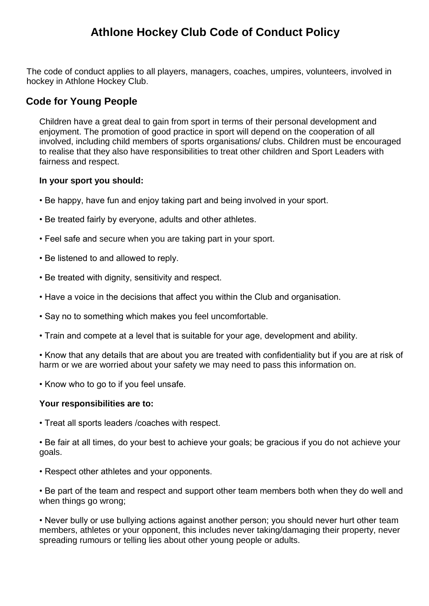# **Athlone Hockey Club Code of Conduct Policy**

The code of conduct applies to all players, managers, coaches, umpires, volunteers, involved in hockey in Athlone Hockey Club.

# **Code for Young People**

Children have a great deal to gain from sport in terms of their personal development and enjoyment. The promotion of good practice in sport will depend on the cooperation of all involved, including child members of sports organisations/ clubs. Children must be encouraged to realise that they also have responsibilities to treat other children and Sport Leaders with fairness and respect.

#### **In your sport you should:**

- Be happy, have fun and enjoy taking part and being involved in your sport.
- Be treated fairly by everyone, adults and other athletes.
- Feel safe and secure when you are taking part in your sport.
- Be listened to and allowed to reply.
- Be treated with dignity, sensitivity and respect.
- Have a voice in the decisions that affect you within the Club and organisation.
- Say no to something which makes you feel uncomfortable.
- Train and compete at a level that is suitable for your age, development and ability.

• Know that any details that are about you are treated with confidentiality but if you are at risk of harm or we are worried about your safety we may need to pass this information on.

• Know who to go to if you feel unsafe.

#### **Your responsibilities are to:**

- Treat all sports leaders /coaches with respect.
- Be fair at all times, do your best to achieve your goals; be gracious if you do not achieve your goals.
- Respect other athletes and your opponents.
- Be part of the team and respect and support other team members both when they do well and when things go wrong;

• Never bully or use bullying actions against another person; you should never hurt other team members, athletes or your opponent, this includes never taking/damaging their property, never spreading rumours or telling lies about other young people or adults.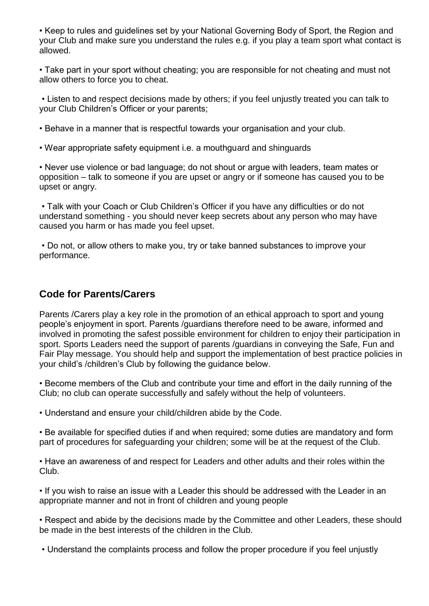• Keep to rules and guidelines set by your National Governing Body of Sport, the Region and your Club and make sure you understand the rules e.g. if you play a team sport what contact is allowed.

• Take part in your sport without cheating; you are responsible for not cheating and must not allow others to force you to cheat.

• Listen to and respect decisions made by others; if you feel unjustly treated you can talk to your Club Children's Officer or your parents;

• Behave in a manner that is respectful towards your organisation and your club.

• Wear appropriate safety equipment i.e. a mouthguard and shinguards

• Never use violence or bad language; do not shout or argue with leaders, team mates or opposition – talk to someone if you are upset or angry or if someone has caused you to be upset or angry.

• Talk with your Coach or Club Children's Officer if you have any difficulties or do not understand something - you should never keep secrets about any person who may have caused you harm or has made you feel upset.

• Do not, or allow others to make you, try or take banned substances to improve your performance.

### **Code for Parents/Carers**

Parents /Carers play a key role in the promotion of an ethical approach to sport and young people's enjoyment in sport. Parents /guardians therefore need to be aware, informed and involved in promoting the safest possible environment for children to enjoy their participation in sport. Sports Leaders need the support of parents /guardians in conveying the Safe, Fun and Fair Play message. You should help and support the implementation of best practice policies in your child's /children's Club by following the guidance below.

• Become members of the Club and contribute your time and effort in the daily running of the Club; no club can operate successfully and safely without the help of volunteers.

• Understand and ensure your child/children abide by the Code.

• Be available for specified duties if and when required; some duties are mandatory and form part of procedures for safeguarding your children; some will be at the request of the Club.

• Have an awareness of and respect for Leaders and other adults and their roles within the Club.

• If you wish to raise an issue with a Leader this should be addressed with the Leader in an appropriate manner and not in front of children and young people

• Respect and abide by the decisions made by the Committee and other Leaders, these should be made in the best interests of the children in the Club.

• Understand the complaints process and follow the proper procedure if you feel unjustly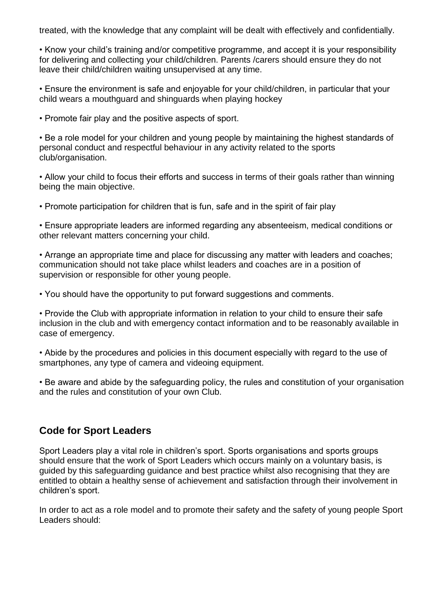treated, with the knowledge that any complaint will be dealt with effectively and confidentially.

• Know your child's training and/or competitive programme, and accept it is your responsibility for delivering and collecting your child/children. Parents /carers should ensure they do not leave their child/children waiting unsupervised at any time.

• Ensure the environment is safe and enjoyable for your child/children, in particular that your child wears a mouthguard and shinguards when playing hockey

• Promote fair play and the positive aspects of sport.

• Be a role model for your children and young people by maintaining the highest standards of personal conduct and respectful behaviour in any activity related to the sports club/organisation.

• Allow your child to focus their efforts and success in terms of their goals rather than winning being the main objective.

• Promote participation for children that is fun, safe and in the spirit of fair play

• Ensure appropriate leaders are informed regarding any absenteeism, medical conditions or other relevant matters concerning your child.

• Arrange an appropriate time and place for discussing any matter with leaders and coaches; communication should not take place whilst leaders and coaches are in a position of supervision or responsible for other young people.

• You should have the opportunity to put forward suggestions and comments.

• Provide the Club with appropriate information in relation to your child to ensure their safe inclusion in the club and with emergency contact information and to be reasonably available in case of emergency.

• Abide by the procedures and policies in this document especially with regard to the use of smartphones, any type of camera and videoing equipment.

• Be aware and abide by the safeguarding policy, the rules and constitution of your organisation and the rules and constitution of your own Club.

### **Code for Sport Leaders**

Sport Leaders play a vital role in children's sport. Sports organisations and sports groups should ensure that the work of Sport Leaders which occurs mainly on a voluntary basis, is guided by this safeguarding guidance and best practice whilst also recognising that they are entitled to obtain a healthy sense of achievement and satisfaction through their involvement in children's sport.

In order to act as a role model and to promote their safety and the safety of young people Sport Leaders should: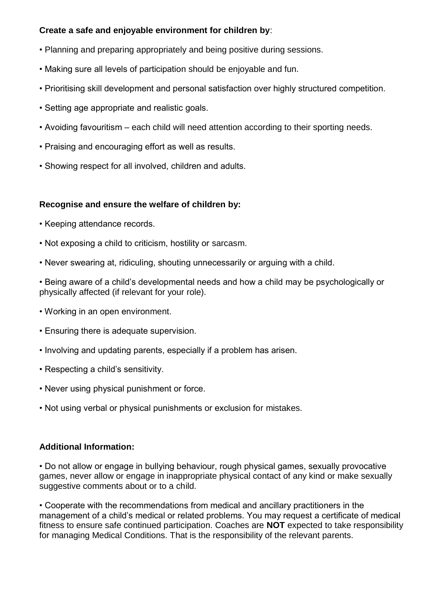#### **Create a safe and enjoyable environment for children by**:

- Planning and preparing appropriately and being positive during sessions.
- Making sure all levels of participation should be enjoyable and fun.
- Prioritising skill development and personal satisfaction over highly structured competition.
- Setting age appropriate and realistic goals.
- Avoiding favouritism each child will need attention according to their sporting needs.
- Praising and encouraging effort as well as results.
- Showing respect for all involved, children and adults.

#### **Recognise and ensure the welfare of children by:**

- Keeping attendance records.
- Not exposing a child to criticism, hostility or sarcasm.
- Never swearing at, ridiculing, shouting unnecessarily or arguing with a child.
- Being aware of a child's developmental needs and how a child may be psychologically or physically affected (if relevant for your role).
- Working in an open environment.
- Ensuring there is adequate supervision.
- Involving and updating parents, especially if a problem has arisen.
- Respecting a child's sensitivity.
- Never using physical punishment or force.
- Not using verbal or physical punishments or exclusion for mistakes.

#### **Additional Information:**

• Do not allow or engage in bullying behaviour, rough physical games, sexually provocative games, never allow or engage in inappropriate physical contact of any kind or make sexually suggestive comments about or to a child.

• Cooperate with the recommendations from medical and ancillary practitioners in the management of a child's medical or related problems. You may request a certificate of medical fitness to ensure safe continued participation. Coaches are **NOT** expected to take responsibility for managing Medical Conditions. That is the responsibility of the relevant parents.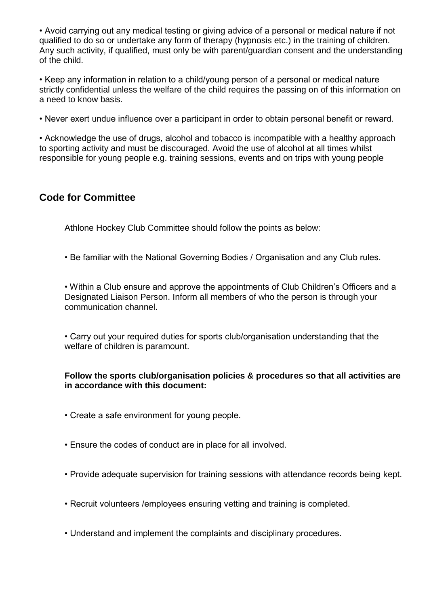• Avoid carrying out any medical testing or giving advice of a personal or medical nature if not qualified to do so or undertake any form of therapy (hypnosis etc.) in the training of children. Any such activity, if qualified, must only be with parent/guardian consent and the understanding of the child.

• Keep any information in relation to a child/young person of a personal or medical nature strictly confidential unless the welfare of the child requires the passing on of this information on a need to know basis.

• Never exert undue influence over a participant in order to obtain personal benefit or reward.

• Acknowledge the use of drugs, alcohol and tobacco is incompatible with a healthy approach to sporting activity and must be discouraged. Avoid the use of alcohol at all times whilst responsible for young people e.g. training sessions, events and on trips with young people

## **Code for Committee**

Athlone Hockey Club Committee should follow the points as below:

• Be familiar with the National Governing Bodies / Organisation and any Club rules.

• Within a Club ensure and approve the appointments of Club Children's Officers and a Designated Liaison Person. Inform all members of who the person is through your communication channel.

• Carry out your required duties for sports club/organisation understanding that the welfare of children is paramount.

#### **Follow the sports club/organisation policies & procedures so that all activities are in accordance with this document:**

- Create a safe environment for young people.
- Ensure the codes of conduct are in place for all involved.
- Provide adequate supervision for training sessions with attendance records being kept.
- Recruit volunteers /employees ensuring vetting and training is completed.
- Understand and implement the complaints and disciplinary procedures.